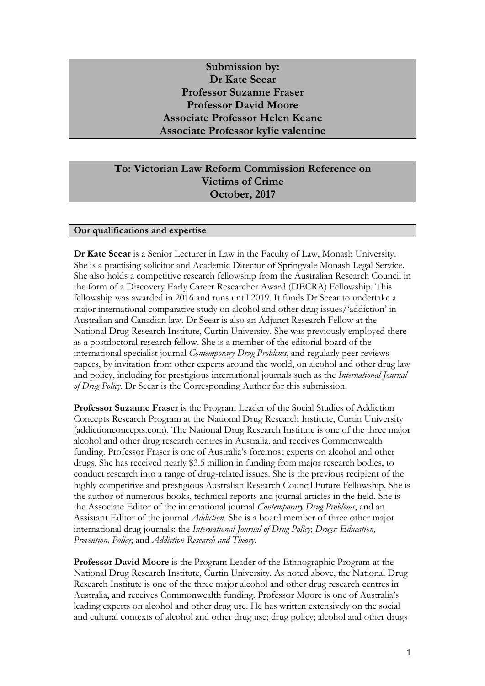# **Submission by: Dr Kate Seear Professor Suzanne Fraser Professor David Moore Associate Professor Helen Keane Associate Professor kylie valentine**

# **To: Victorian Law Reform Commission Reference on Victims of Crime October, 2017**

## **Our qualifications and expertise**

**Dr Kate Seear** is a Senior Lecturer in Law in the Faculty of Law, Monash University. She is a practising solicitor and Academic Director of Springvale Monash Legal Service. She also holds a competitive research fellowship from the Australian Research Council in the form of a Discovery Early Career Researcher Award (DECRA) Fellowship. This fellowship was awarded in 2016 and runs until 2019. It funds Dr Seear to undertake a major international comparative study on alcohol and other drug issues/'addiction' in Australian and Canadian law. Dr Seear is also an Adjunct Research Fellow at the National Drug Research Institute, Curtin University. She was previously employed there as a postdoctoral research fellow. She is a member of the editorial board of the international specialist journal *Contemporary Drug Problems*, and regularly peer reviews papers, by invitation from other experts around the world, on alcohol and other drug law and policy, including for prestigious international journals such as the *International Journal of Drug Policy*. Dr Seear is the Corresponding Author for this submission.

**Professor Suzanne Fraser** is the Program Leader of the Social Studies of Addiction Concepts Research Program at the National Drug Research Institute, Curtin University (addictionconcepts.com). The National Drug Research Institute is one of the three major alcohol and other drug research centres in Australia, and receives Commonwealth funding. Professor Fraser is one of Australia's foremost experts on alcohol and other drugs. She has received nearly \$3.5 million in funding from major research bodies, to conduct research into a range of drug-related issues. She is the previous recipient of the highly competitive and prestigious Australian Research Council Future Fellowship. She is the author of numerous books, technical reports and journal articles in the field. She is the Associate Editor of the international journal *Contemporary Drug Problems*, and an Assistant Editor of the journal *Addiction*. She is a board member of three other major international drug journals: the *International Journal of Drug Policy*; *Drugs: Education, Prevention, Policy*; and *Addiction Research and Theory*.

**Professor David Moore** is the Program Leader of the Ethnographic Program at the National Drug Research Institute, Curtin University. As noted above, the National Drug Research Institute is one of the three major alcohol and other drug research centres in Australia, and receives Commonwealth funding. Professor Moore is one of Australia's leading experts on alcohol and other drug use. He has written extensively on the social and cultural contexts of alcohol and other drug use; drug policy; alcohol and other drugs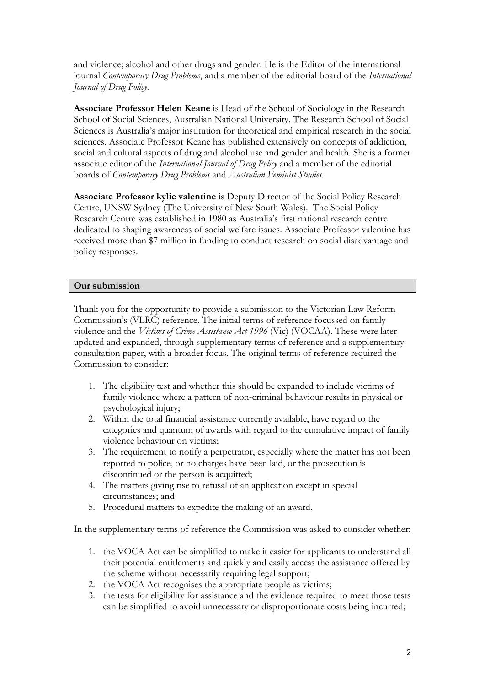and violence; alcohol and other drugs and gender. He is the Editor of the international journal *Contemporary Drug Problems*, and a member of the editorial board of the *International Journal of Drug Policy*.

**Associate Professor Helen Keane** is Head of the School of Sociology in the Research School of Social Sciences, Australian National University. The Research School of Social Sciences is Australia's major institution for theoretical and empirical research in the social sciences. Associate Professor Keane has published extensively on concepts of addiction, social and cultural aspects of drug and alcohol use and gender and health. She is a former associate editor of the *International Journal of Drug Policy* and a member of the editorial boards of *Contemporary Drug Problems* and *Australian Feminist Studies*.

**Associate Professor kylie valentine** is Deputy Director of the Social Policy Research Centre, UNSW Sydney (The University of New South Wales). The Social Policy Research Centre was established in 1980 as Australia's first national research centre dedicated to shaping awareness of social welfare issues. Associate Professor valentine has received more than \$7 million in funding to conduct research on social disadvantage and policy responses.

## **Our submission**

Thank you for the opportunity to provide a submission to the Victorian Law Reform Commission's (VLRC) reference. The initial terms of reference focussed on family violence and the *Victims of Crime Assistance Act 1996* (Vic) (VOCAA). These were later updated and expanded, through supplementary terms of reference and a supplementary consultation paper, with a broader focus. The original terms of reference required the Commission to consider:

- 1. The eligibility test and whether this should be expanded to include victims of family violence where a pattern of non-criminal behaviour results in physical or psychological injury;
- 2. Within the total financial assistance currently available, have regard to the categories and quantum of awards with regard to the cumulative impact of family violence behaviour on victims;
- 3. The requirement to notify a perpetrator, especially where the matter has not been reported to police, or no charges have been laid, or the prosecution is discontinued or the person is acquitted;
- 4. The matters giving rise to refusal of an application except in special circumstances; and
- 5. Procedural matters to expedite the making of an award.

In the supplementary terms of reference the Commission was asked to consider whether:

- 1. the VOCA Act can be simplified to make it easier for applicants to understand all their potential entitlements and quickly and easily access the assistance offered by the scheme without necessarily requiring legal support;
- 2. the VOCA Act recognises the appropriate people as victims;
- 3. the tests for eligibility for assistance and the evidence required to meet those tests can be simplified to avoid unnecessary or disproportionate costs being incurred;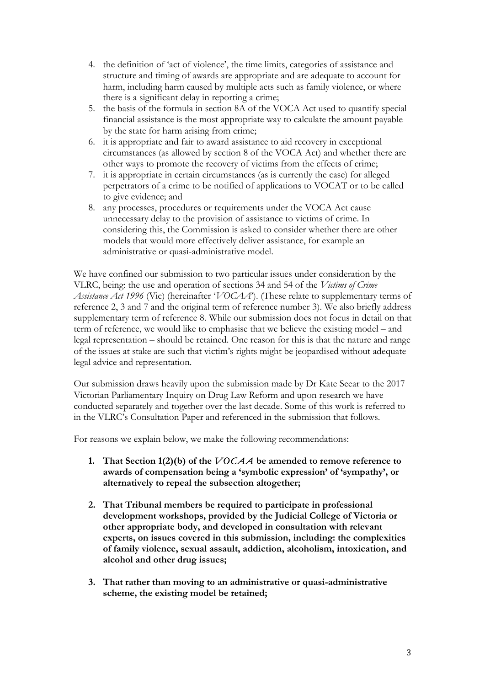- 4. the definition of 'act of violence', the time limits, categories of assistance and structure and timing of awards are appropriate and are adequate to account for harm, including harm caused by multiple acts such as family violence, or where there is a significant delay in reporting a crime;
- 5. the basis of the formula in section 8A of the VOCA Act used to quantify special financial assistance is the most appropriate way to calculate the amount payable by the state for harm arising from crime;
- 6. it is appropriate and fair to award assistance to aid recovery in exceptional circumstances (as allowed by section 8 of the VOCA Act) and whether there are other ways to promote the recovery of victims from the effects of crime;
- 7. it is appropriate in certain circumstances (as is currently the case) for alleged perpetrators of a crime to be notified of applications to VOCAT or to be called to give evidence; and
- 8. any processes, procedures or requirements under the VOCA Act cause unnecessary delay to the provision of assistance to victims of crime. In considering this, the Commission is asked to consider whether there are other models that would more effectively deliver assistance, for example an administrative or quasi-administrative model.

We have confined our submission to two particular issues under consideration by the VLRC, being: the use and operation of sections 34 and 54 of the *Victims of Crime Assistance Act 1996* (Vic) (hereinafter '*VOCAA*'). (These relate to supplementary terms of reference 2, 3 and 7 and the original term of reference number 3). We also briefly address supplementary term of reference 8. While our submission does not focus in detail on that term of reference, we would like to emphasise that we believe the existing model – and legal representation – should be retained. One reason for this is that the nature and range of the issues at stake are such that victim's rights might be jeopardised without adequate legal advice and representation.

Our submission draws heavily upon the submission made by Dr Kate Seear to the 2017 Victorian Parliamentary Inquiry on Drug Law Reform and upon research we have conducted separately and together over the last decade. Some of this work is referred to in the VLRC's Consultation Paper and referenced in the submission that follows.

For reasons we explain below, we make the following recommendations:

- **1. That Section 1(2)(b) of the** *VOCAA* **be amended to remove reference to awards of compensation being a 'symbolic expression' of 'sympathy', or alternatively to repeal the subsection altogether;**
- **2. That Tribunal members be required to participate in professional development workshops, provided by the Judicial College of Victoria or other appropriate body, and developed in consultation with relevant experts, on issues covered in this submission, including: the complexities of family violence, sexual assault, addiction, alcoholism, intoxication, and alcohol and other drug issues;**
- **3. That rather than moving to an administrative or quasi-administrative scheme, the existing model be retained;**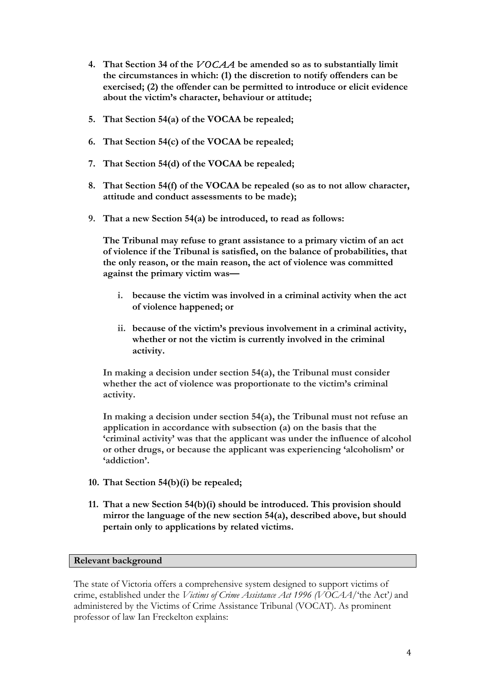- **4. That Section 34 of the** *VOCAA* **be amended so as to substantially limit the circumstances in which: (1) the discretion to notify offenders can be exercised; (2) the offender can be permitted to introduce or elicit evidence about the victim's character, behaviour or attitude;**
- **5. That Section 54(a) of the VOCAA be repealed;**
- **6. That Section 54(c) of the VOCAA be repealed;**
- **7. That Section 54(d) of the VOCAA be repealed;**
- **8. That Section 54(f) of the VOCAA be repealed (so as to not allow character, attitude and conduct assessments to be made);**
- **9. That a new Section 54(a) be introduced, to read as follows:**

**The Tribunal may refuse to grant assistance to a primary victim of an act of violence if the Tribunal is satisfied, on the balance of probabilities, that the only reason, or the main reason, the act of violence was committed against the primary victim was—**

- **i. because the victim was involved in a criminal activity when the act of violence happened; or**
- **ii. because of the victim's previous involvement in a criminal activity, whether or not the victim is currently involved in the criminal activity.**

**In making a decision under section 54(a), the Tribunal must consider whether the act of violence was proportionate to the victim's criminal activity.** 

**In making a decision under section 54(a), the Tribunal must not refuse an application in accordance with subsection (a) on the basis that the 'criminal activity' was that the applicant was under the influence of alcohol or other drugs, or because the applicant was experiencing 'alcoholism' or 'addiction'.**

- **10. That Section 54(b)(i) be repealed;**
- **11. That a new Section 54(b)(i) should be introduced. This provision should mirror the language of the new section 54(a), described above, but should pertain only to applications by related victims.**

#### **Relevant background**

The state of Victoria offers a comprehensive system designed to support victims of crime, established under the *Victims of Crime Assistance Act 1996 (VOCAA*/'the Act'*)* and administered by the Victims of Crime Assistance Tribunal (VOCAT). As prominent professor of law Ian Freckelton explains: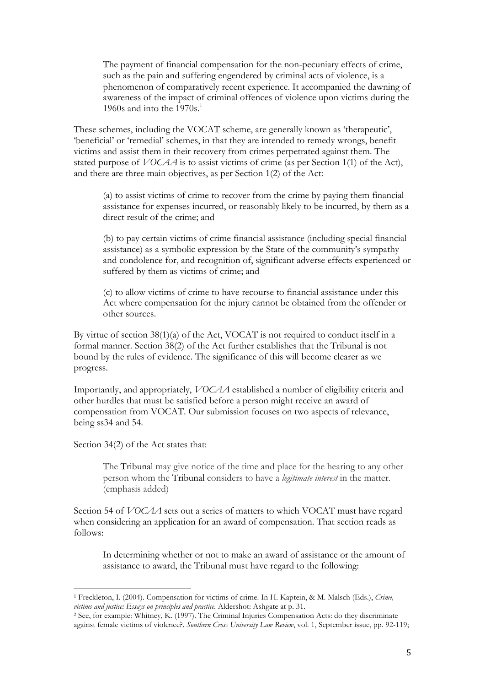The payment of financial compensation for the non-pecuniary effects of crime, such as the pain and suffering engendered by criminal acts of violence, is a phenomenon of comparatively recent experience. It accompanied the dawning of awareness of the impact of criminal offences of violence upon victims during the 1960s and into the  $1970s<sup>1</sup>$ 

These schemes, including the VOCAT scheme, are generally known as 'therapeutic', 'beneficial' or 'remedial' schemes, in that they are intended to remedy wrongs, benefit victims and assist them in their recovery from crimes perpetrated against them. The stated purpose of *VOCAA* is to assist victims of crime (as per Section 1(1) of the Act), and there are three main objectives, as per Section 1(2) of the Act:

(a) to assist victims of crime to recover from the crime by paying them financial assistance for expenses incurred, or reasonably likely to be incurred, by them as a direct result of the crime; and

(b) to pay certain victims of crime financial assistance (including special financial assistance) as a symbolic expression by the State of the community's sympathy and condolence for, and recognition of, significant adverse effects experienced or suffered by them as victims of crime; and

(c) to allow victims of crime to have recourse to financial assistance under this Act where compensation for the injury cannot be obtained from the offender or other sources.

By virtue of section 38(1)(a) of the Act, VOCAT is not required to conduct itself in a formal manner. Section 38(2) of the Act further establishes that the Tribunal is not bound by the rules of evidence. The significance of this will become clearer as we progress.

Importantly, and appropriately, *VOCAA* established a number of eligibility criteria and other hurdles that must be satisfied before a person might receive an award of compensation from VOCAT. Our submission focuses on two aspects of relevance, being ss34 and 54.

Section 34(2) of the Act states that:

The Tribunal may give notice of the time and place for the hearing to any other person whom the Tribunal considers to have a *legitimate interest* in the matter. (emphasis added)

Section 54 of *VOCAA* sets out a series of matters to which VOCAT must have regard when considering an application for an award of compensation. That section reads as follows:

In determining whether or not to make an award of assistance or the amount of assistance to award, the Tribunal must have regard to the following:

<sup>1</sup> Freckleton, I. (2004). Compensation for victims of crime. In H. Kaptein, & M. Malsch (Eds.), *Crime, victims and justice: Essays on principles and practice.* Aldershot: Ashgate at p. 31. 2 See, for example: Whitney, K. (1997). The Criminal Injuries Compensation Acts: do they discriminate

against female victims of violence?. *Southern Cross University Law Review*, vol. 1, September issue, pp. 92-119;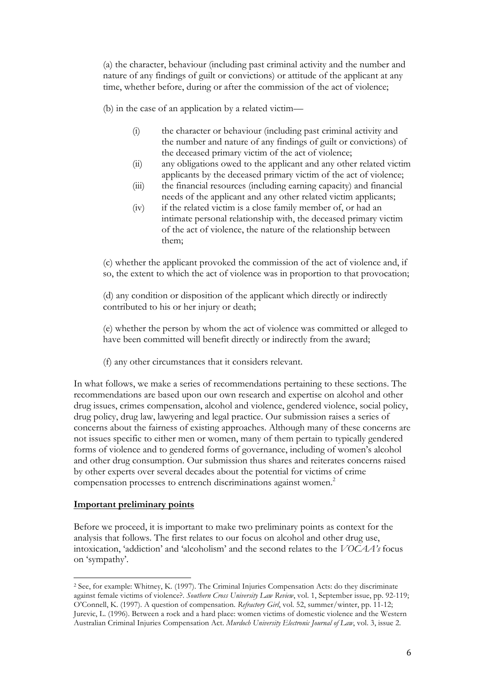(a) the character, behaviour (including past criminal activity and the number and nature of any findings of guilt or convictions) or attitude of the applicant at any time, whether before, during or after the commission of the act of violence;

(b) in the case of an application by a related victim—

- (i) the character or behaviour (including past criminal activity and the number and nature of any findings of guilt or convictions) of the deceased primary victim of the act of violence;
- (ii) any obligations owed to the applicant and any other related victim applicants by the deceased primary victim of the act of violence;
- (iii) the financial resources (including earning capacity) and financial needs of the applicant and any other related victim applicants;
- (iv) if the related victim is a close family member of, or had an intimate personal relationship with, the deceased primary victim of the act of violence, the nature of the relationship between them;

(c) whether the applicant provoked the commission of the act of violence and, if so, the extent to which the act of violence was in proportion to that provocation;

(d) any condition or disposition of the applicant which directly or indirectly contributed to his or her injury or death;

(e) whether the person by whom the act of violence was committed or alleged to have been committed will benefit directly or indirectly from the award;

(f) any other circumstances that it considers relevant.

In what follows, we make a series of recommendations pertaining to these sections. The recommendations are based upon our own research and expertise on alcohol and other drug issues, crimes compensation, alcohol and violence, gendered violence, social policy, drug policy, drug law, lawyering and legal practice. Our submission raises a series of concerns about the fairness of existing approaches. Although many of these concerns are not issues specific to either men or women, many of them pertain to typically gendered forms of violence and to gendered forms of governance, including of women's alcohol and other drug consumption. Our submission thus shares and reiterates concerns raised by other experts over several decades about the potential for victims of crime compensation processes to entrench discriminations against women.<sup>2</sup>

#### **Important preliminary points**

Before we proceed, it is important to make two preliminary points as context for the analysis that follows. The first relates to our focus on alcohol and other drug use, intoxication, 'addiction' and 'alcoholism' and the second relates to the *VOCAA's* focus on 'sympathy'.

<sup>2</sup> See, for example: Whitney, K. (1997). The Criminal Injuries Compensation Acts: do they discriminate against female victims of violence?. *Southern Cross University Law Review*, vol. 1, September issue, pp. 92-119; O'Connell, K. (1997). A question of compensation. *Refractory Girl*, vol. 52, summer/winter, pp. 11-12; Jurevic, L. (1996). Between a rock and a hard place: women victims of domestic violence and the Western Australian Criminal Injuries Compensation Act. *Murdoch University Electronic Journal of Law*, vol. 3, issue 2.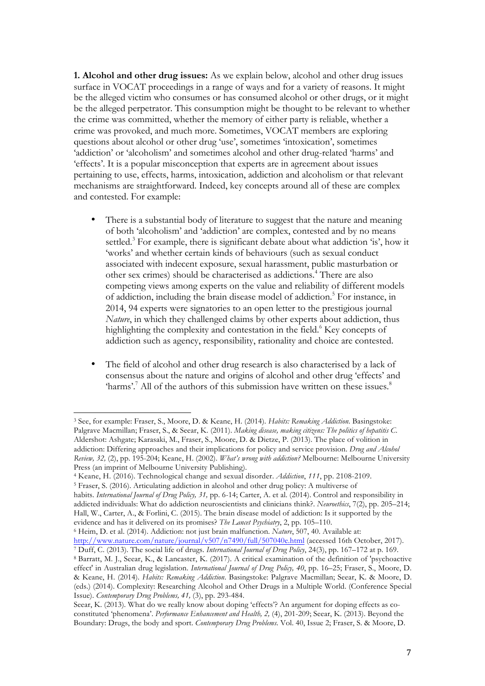**1. Alcohol and other drug issues:** As we explain below, alcohol and other drug issues surface in VOCAT proceedings in a range of ways and for a variety of reasons. It might be the alleged victim who consumes or has consumed alcohol or other drugs, or it might be the alleged perpetrator. This consumption might be thought to be relevant to whether the crime was committed, whether the memory of either party is reliable, whether a crime was provoked, and much more. Sometimes, VOCAT members are exploring questions about alcohol or other drug 'use', sometimes 'intoxication', sometimes 'addiction' or 'alcoholism' and sometimes alcohol and other drug-related 'harms' and 'effects'. It is a popular misconception that experts are in agreement about issues pertaining to use, effects, harms, intoxication, addiction and alcoholism or that relevant mechanisms are straightforward. Indeed, key concepts around all of these are complex and contested. For example:

- There is a substantial body of literature to suggest that the nature and meaning of both 'alcoholism' and 'addiction' are complex, contested and by no means settled.<sup>3</sup> For example, there is significant debate about what addiction 'is', how it 'works' and whether certain kinds of behaviours (such as sexual conduct associated with indecent exposure, sexual harassment, public masturbation or other sex crimes) should be characterised as addictions.4 There are also competing views among experts on the value and reliability of different models of addiction, including the brain disease model of addiction.<sup>5</sup> For instance, in 2014, 94 experts were signatories to an open letter to the prestigious journal *Nature*, in which they challenged claims by other experts about addiction, thus highlighting the complexity and contestation in the field.<sup>6</sup> Key concepts of addiction such as agency, responsibility, rationality and choice are contested.
- The field of alcohol and other drug research is also characterised by a lack of consensus about the nature and origins of alcohol and other drug 'effects' and 'harms'.<sup>7</sup> All of the authors of this submission have written on these issues.<sup>8</sup>

<sup>5</sup> Fraser, S. (2016). Articulating addiction in alcohol and other drug policy: A multiverse of habits. *International Journal of Drug Policy, 31,* pp. 6-14; Carter, A. et al. (2014). Control and responsibility in

addicted individuals: What do addiction neuroscientists and clinicians think?. *Neuroethics*, 7(2), pp. 205–214; Hall, W., Carter, A., & Forlini, C. (2015). The brain disease model of addiction: Is it supported by the

<sup>3</sup> See, for example: Fraser, S., Moore, D. & Keane, H. (2014). *Habits: Remaking Addiction*. Basingstoke: Palgrave Macmillan; Fraser, S., & Seear, K. (2011). *Making disease, making citizens: The politics of hepatitis C*. Aldershot: Ashgate; Karasaki, M., Fraser, S., Moore, D. & Dietze, P. (2013). The place of volition in addiction: Differing approaches and their implications for policy and service provision. *Drug and Alcohol Review, 32,* (2), pp. 195-204; Keane, H. (2002). *What's wrong with addiction?* Melbourne: Melbourne University Press (an imprint of Melbourne University Publishing).

<sup>4</sup> Keane, H. (2016). Technological change and sexual disorder. *Addiction*, *111*, pp. 2108-2109.

evidence and has it delivered on its promises? *The Lancet Psychiatry*, 2, pp. 105–110.

<sup>&</sup>lt;sup>6</sup> Heim, D. et al. (2014). Addiction: not just brain malfunction. *Nature*, 507, 40. Available at:<br>http://www.nature.com/nature/journal/v507/n7490/full/507040e.html (accessed 16th October, 2017).

<sup>&</sup>lt;sup>7</sup> Duff, C. (2013). The social life of drugs. *International Journal of Drug Policy*, 24(3), pp. 167–172 at p. 169.

<sup>8</sup> Barratt, M. J., Seear, K., & Lancaster, K. (2017). A critical examination of the definition of 'psychoactive effect' in Australian drug legislation. *International Journal of Drug Policy, 40*, pp. 16–25; Fraser, S., Moore, D. & Keane, H. (2014). *Habits: Remaking Addiction*. Basingstoke: Palgrave Macmillan; Seear, K. & Moore, D. (eds.) (2014). Complexity: Researching Alcohol and Other Drugs in a Multiple World. (Conference Special Issue). *Contemporary Drug Problems, 41,* (3), pp. 293-484.

Seear, K. (2013). What do we really know about doping 'effects'? An argument for doping effects as coconstituted 'phenomena'. *Performance Enhancement and Health, 2,* (4), 201-209; Seear, K. (2013). Beyond the Boundary: Drugs, the body and sport. *Contemporary Drug Problems*. Vol. 40, Issue 2; Fraser, S. & Moore, D.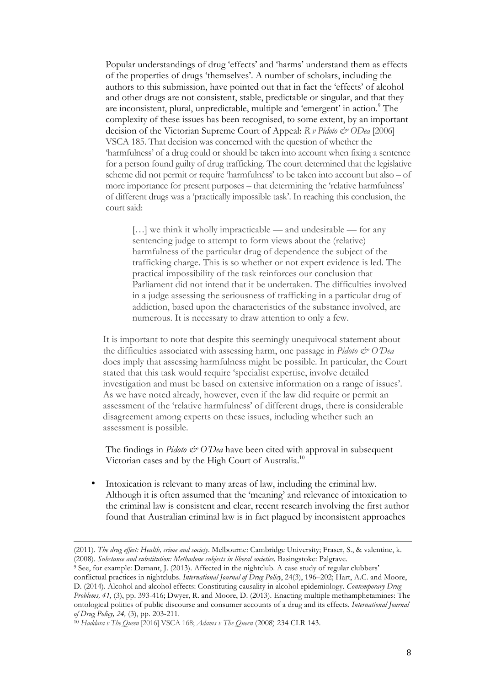Popular understandings of drug 'effects' and 'harms' understand them as effects of the properties of drugs 'themselves'. A number of scholars, including the authors to this submission, have pointed out that in fact the 'effects' of alcohol and other drugs are not consistent, stable, predictable or singular, and that they are inconsistent, plural, unpredictable, multiple and 'emergent' in action.<sup>9</sup> The complexity of these issues has been recognised, to some extent, by an important decision of the Victorian Supreme Court of Appeal: *R v Pidoto & ODea* [2006] VSCA 185. That decision was concerned with the question of whether the 'harmfulness' of a drug could or should be taken into account when fixing a sentence for a person found guilty of drug trafficking. The court determined that the legislative scheme did not permit or require 'harmfulness' to be taken into account but also – of more importance for present purposes – that determining the 'relative harmfulness' of different drugs was a 'practically impossible task'. In reaching this conclusion, the court said:

[...] we think it wholly impracticable — and undesirable — for any sentencing judge to attempt to form views about the (relative) harmfulness of the particular drug of dependence the subject of the trafficking charge. This is so whether or not expert evidence is led. The practical impossibility of the task reinforces our conclusion that Parliament did not intend that it be undertaken. The difficulties involved in a judge assessing the seriousness of trafficking in a particular drug of addiction, based upon the characteristics of the substance involved, are numerous. It is necessary to draw attention to only a few.

It is important to note that despite this seemingly unequivocal statement about the difficulties associated with assessing harm, one passage in *Pidoto & O'Dea* does imply that assessing harmfulness might be possible. In particular, the Court stated that this task would require 'specialist expertise, involve detailed investigation and must be based on extensive information on a range of issues'. As we have noted already, however, even if the law did require or permit an assessment of the 'relative harmfulness' of different drugs, there is considerable disagreement among experts on these issues, including whether such an assessment is possible.

The findings in *Pidoto & O'Dea* have been cited with approval in subsequent Victorian cases and by the High Court of Australia.<sup>10</sup>

Intoxication is relevant to many areas of law, including the criminal law. Although it is often assumed that the 'meaning' and relevance of intoxication to the criminal law is consistent and clear, recent research involving the first author found that Australian criminal law is in fact plagued by inconsistent approaches

<sup>(2011).</sup> *The drug effect: Health, crime and society*. Melbourne: Cambridge University; Fraser, S., & valentine, k. (2008). *Substance and substitution: Methadone subjects in liberal societies.* Basingstoke: Palgrave.

<sup>9</sup> See, for example: Demant, J. (2013). Affected in the nightclub. A case study of regular clubbers' conflictual practices in nightclubs. *International Journal of Drug Policy*, 24(3), 196–202; Hart, A.C. and Moore, D. (2014). Alcohol and alcohol effects: Constituting causality in alcohol epidemiology. *Contemporary Drug Problems, 41,* (3), pp. 393-416; Dwyer, R. and Moore, D. (2013). Enacting multiple methamphetamines: The ontological politics of public discourse and consumer accounts of a drug and its effects. *International Journal of Drug Policy, 24,* (3), pp. 203-211.

<sup>10</sup> *Haddara v The Queen* [2016] VSCA 168; *Adams v The Queen* (2008) 234 CLR 143.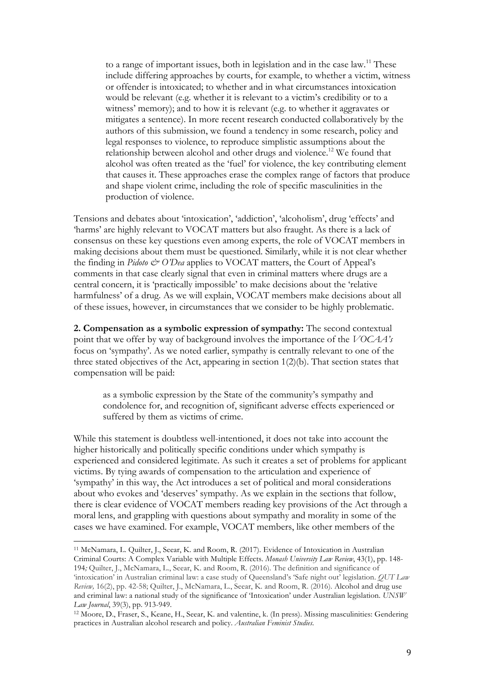to a range of important issues, both in legislation and in the case law.<sup>11</sup> These include differing approaches by courts, for example, to whether a victim, witness or offender is intoxicated; to whether and in what circumstances intoxication would be relevant (e.g. whether it is relevant to a victim's credibility or to a witness' memory); and to how it is relevant (e.g. to whether it aggravates or mitigates a sentence). In more recent research conducted collaboratively by the authors of this submission, we found a tendency in some research, policy and legal responses to violence, to reproduce simplistic assumptions about the relationship between alcohol and other drugs and violence.<sup>12</sup> We found that alcohol was often treated as the 'fuel' for violence, the key contributing element that causes it. These approaches erase the complex range of factors that produce and shape violent crime, including the role of specific masculinities in the production of violence.

Tensions and debates about 'intoxication', 'addiction', 'alcoholism', drug 'effects' and 'harms' are highly relevant to VOCAT matters but also fraught. As there is a lack of consensus on these key questions even among experts, the role of VOCAT members in making decisions about them must be questioned. Similarly, while it is not clear whether the finding in *Pidoto & O'Dea* applies to VOCAT matters, the Court of Appeal's comments in that case clearly signal that even in criminal matters where drugs are a central concern, it is 'practically impossible' to make decisions about the 'relative harmfulness' of a drug. As we will explain, VOCAT members make decisions about all of these issues, however, in circumstances that we consider to be highly problematic.

**2. Compensation as a symbolic expression of sympathy:** The second contextual point that we offer by way of background involves the importance of the *VOCAA's* focus on 'sympathy'. As we noted earlier, sympathy is centrally relevant to one of the three stated objectives of the Act, appearing in section 1(2)(b). That section states that compensation will be paid:

as a symbolic expression by the State of the community's sympathy and condolence for, and recognition of, significant adverse effects experienced or suffered by them as victims of crime.

While this statement is doubtless well-intentioned, it does not take into account the higher historically and politically specific conditions under which sympathy is experienced and considered legitimate. As such it creates a set of problems for applicant victims. By tying awards of compensation to the articulation and experience of 'sympathy' in this way, the Act introduces a set of political and moral considerations about who evokes and 'deserves' sympathy. As we explain in the sections that follow, there is clear evidence of VOCAT members reading key provisions of the Act through a moral lens, and grappling with questions about sympathy and morality in some of the cases we have examined. For example, VOCAT members, like other members of the

<sup>11</sup> McNamara, L. Quilter, J., Seear, K. and Room, R. (2017). Evidence of Intoxication in Australian Criminal Courts: A Complex Variable with Multiple Effects. *Monash University Law Review*, 43(1), pp. 148- 194*;* Quilter, J., McNamara, L., Seear, K. and Room, R. (2016). The definition and significance of 'intoxication' in Australian criminal law: a case study of Queensland's 'Safe night out' legislation. *QUT Law Review,* 16(2), pp. 42-58; Quilter, J., McNamara, L., Seear, K. and Room, R. (2016). Alcohol and drug use and criminal law: a national study of the significance of 'Intoxication' under Australian legislation. *UNSW Law Journal*, 39(3), pp. 913-949.

<sup>12</sup> Moore, D., Fraser, S., Keane, H., Seear, K. and valentine, k. (In press). Missing masculinities: Gendering practices in Australian alcohol research and policy. *Australian Feminist Studies.*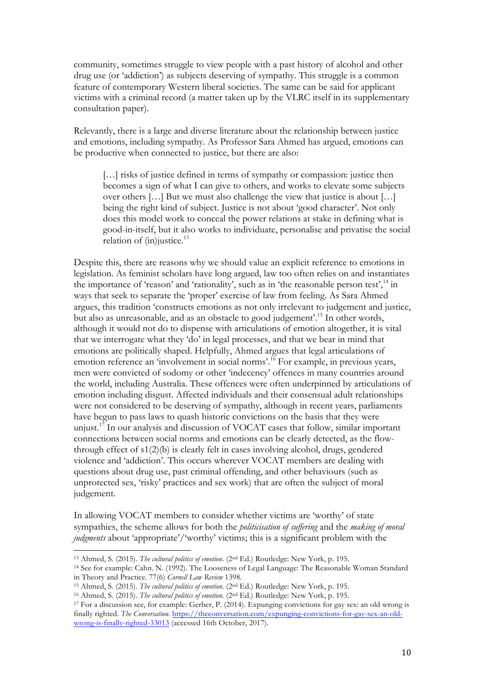community, sometimes struggle to view people with a past history of alcohol and other drug use (or 'addiction') as subjects deserving of sympathy. This struggle is a common feature of contemporary Western liberal societies. The same can be said for applicant victims with a criminal record (a matter taken up by the VLRC itself in its supplementary consultation paper).

Relevantly, there is a large and diverse literature about the relationship between justice and emotions, including sympathy. As Professor Sara Ahmed has argued, emotions can be productive when connected to justice, but there are also:

[...] risks of justice defined in terms of sympathy or compassion: justice then becomes a sign of what I can give to others, and works to elevate some subjects over others […] But we must also challenge the view that justice is about […] being the right kind of subject. Justice is not about 'good character'. Not only does this model work to conceal the power relations at stake in defining what is good-in-itself, but it also works to individuate, personalise and privatise the social relation of  $(in)$ justice.<sup>13</sup>

Despite this, there are reasons why we should value an explicit reference to emotions in legislation. As feminist scholars have long argued, law too often relies on and instantiates the importance of 'reason' and 'rationality', such as in 'the reasonable person test',<sup>14</sup> in ways that seek to separate the 'proper' exercise of law from feeling. As Sara Ahmed argues, this tradition 'constructs emotions as not only irrelevant to judgement and justice, but also as unreasonable, and as an obstacle to good judgement'.15 In other words, although it would not do to dispense with articulations of emotion altogether, it is vital that we interrogate what they 'do' in legal processes, and that we bear in mind that emotions are politically shaped. Helpfully, Ahmed argues that legal articulations of emotion reference an 'involvement in social norms'.<sup>16</sup> For example, in previous years, men were convicted of sodomy or other 'indecency' offences in many countries around the world, including Australia. These offences were often underpinned by articulations of emotion including disgust. Affected individuals and their consensual adult relationships were not considered to be deserving of sympathy, although in recent years, parliaments have begun to pass laws to quash historic convictions on the basis that they were unjust.<sup>17</sup> In our analysis and discussion of VOCAT cases that follow, similar important connections between social norms and emotions can be clearly detected, as the flowthrough effect of s1(2)(b) is clearly felt in cases involving alcohol, drugs, gendered violence and 'addiction'. This occurs wherever VOCAT members are dealing with questions about drug use, past criminal offending, and other behaviours (such as unprotected sex, 'risky' practices and sex work) that are often the subject of moral judgement.

In allowing VOCAT members to consider whether victims are 'worthy' of state sympathies, the scheme allows for both the *politicisation of suffering* and the *making of moral judgments* about 'appropriate'/'worthy' victims; this is a significant problem with the

<sup>13</sup> Ahmed, S. (2015). *The cultural politics of emotion*. (2nd Ed.) Routledge: New York, p. 195.

<sup>14</sup> See for example: Cahn. N. (1992). The Looseness of Legal Language: The Reasonable Woman Standard in Theory and Practice. 77(6) *Cornell Law Review* 1398.

<sup>15</sup> Ahmed, S. (2015). *The cultural politics of emotion*. (2nd Ed.) Routledge: New York, p. 195.

<sup>16</sup> Ahmed, S. (2015). *The cultural politics of emotion*. (2nd Ed.) Routledge: New York, p. 195.

<sup>17</sup> For a discussion see, for example: Gerber, P. (2014). Expunging convictions for gay sex: an old wrong is finally righted. *The Conversation*. https://theconversation.com/expunging-convictions-for-gay-sex-an-oldwrong-is-finally-righted-33013 (accessed 16th October, 2017).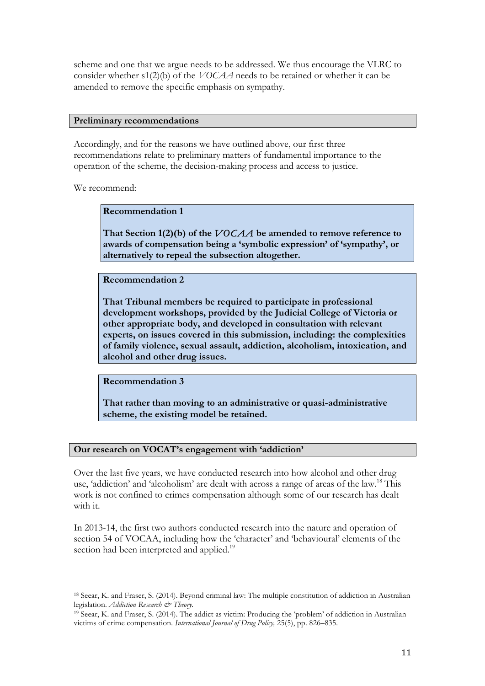scheme and one that we argue needs to be addressed. We thus encourage the VLRC to consider whether s1(2)(b) of the *VOCAA* needs to be retained or whether it can be amended to remove the specific emphasis on sympathy.

#### **Preliminary recommendations**

Accordingly, and for the reasons we have outlined above, our first three recommendations relate to preliminary matters of fundamental importance to the operation of the scheme, the decision-making process and access to justice.

We recommend:

## **Recommendation 1**

**That Section 1(2)(b) of the** *VOCAA* **be amended to remove reference to awards of compensation being a 'symbolic expression' of 'sympathy', or alternatively to repeal the subsection altogether.**

**Recommendation 2**

**That Tribunal members be required to participate in professional development workshops, provided by the Judicial College of Victoria or other appropriate body, and developed in consultation with relevant experts, on issues covered in this submission, including: the complexities of family violence, sexual assault, addiction, alcoholism, intoxication, and alcohol and other drug issues.**

**Recommendation 3**

**That rather than moving to an administrative or quasi-administrative scheme, the existing model be retained.**

## **Our research on VOCAT's engagement with 'addiction'**

Over the last five years, we have conducted research into how alcohol and other drug use, 'addiction' and 'alcoholism' are dealt with across a range of areas of the law.18 This work is not confined to crimes compensation although some of our research has dealt with it.

In 2013-14, the first two authors conducted research into the nature and operation of section 54 of VOCAA, including how the 'character' and 'behavioural' elements of the section had been interpreted and applied.<sup>19</sup>

<sup>18</sup> Seear, K. and Fraser, S. (2014). Beyond criminal law: The multiple constitution of addiction in Australian legislation. *Addiction Research & Theory.*

<sup>19</sup> Seear, K. and Fraser, S. (2014). The addict as victim: Producing the 'problem' of addiction in Australian victims of crime compensation. *International Journal of Drug Policy,* 25(5), pp. 826–835.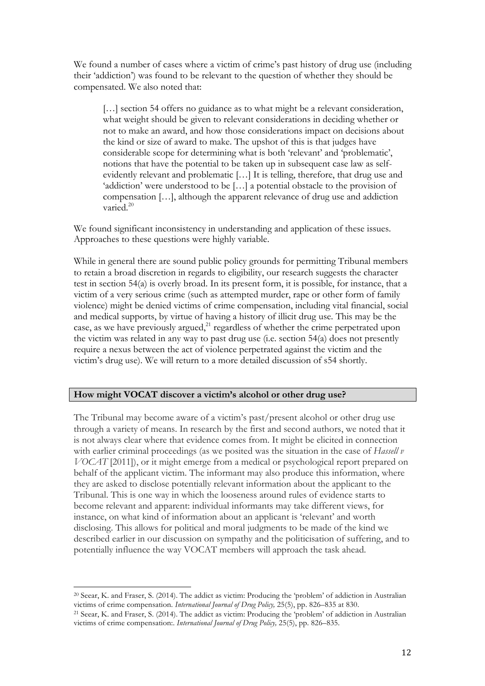We found a number of cases where a victim of crime's past history of drug use (including their 'addiction') was found to be relevant to the question of whether they should be compensated. We also noted that:

[…] section 54 offers no guidance as to what might be a relevant consideration, what weight should be given to relevant considerations in deciding whether or not to make an award, and how those considerations impact on decisions about the kind or size of award to make. The upshot of this is that judges have considerable scope for determining what is both 'relevant' and 'problematic', notions that have the potential to be taken up in subsequent case law as selfevidently relevant and problematic […] It is telling, therefore, that drug use and 'addiction' were understood to be […] a potential obstacle to the provision of compensation […], although the apparent relevance of drug use and addiction varied.<sup>20</sup>

We found significant inconsistency in understanding and application of these issues. Approaches to these questions were highly variable.

While in general there are sound public policy grounds for permitting Tribunal members to retain a broad discretion in regards to eligibility, our research suggests the character test in section 54(a) is overly broad. In its present form, it is possible, for instance, that a victim of a very serious crime (such as attempted murder, rape or other form of family violence) might be denied victims of crime compensation, including vital financial, social and medical supports, by virtue of having a history of illicit drug use. This may be the case, as we have previously argued, $^{21}$  regardless of whether the crime perpetrated upon the victim was related in any way to past drug use (i.e. section 54(a) does not presently require a nexus between the act of violence perpetrated against the victim and the victim's drug use). We will return to a more detailed discussion of s54 shortly.

## **How might VOCAT discover a victim's alcohol or other drug use?**

The Tribunal may become aware of a victim's past/present alcohol or other drug use through a variety of means. In research by the first and second authors, we noted that it is not always clear where that evidence comes from. It might be elicited in connection with earlier criminal proceedings (as we posited was the situation in the case of *Hassell v VOCAT* [2011]), or it might emerge from a medical or psychological report prepared on behalf of the applicant victim. The informant may also produce this information, where they are asked to disclose potentially relevant information about the applicant to the Tribunal. This is one way in which the looseness around rules of evidence starts to become relevant and apparent: individual informants may take different views, for instance, on what kind of information about an applicant is 'relevant' and worth disclosing. This allows for political and moral judgments to be made of the kind we described earlier in our discussion on sympathy and the politicisation of suffering, and to potentially influence the way VOCAT members will approach the task ahead.

<sup>20</sup> Seear, K. and Fraser, S. (2014). The addict as victim: Producing the 'problem' of addiction in Australian victims of crime compensation. *International Journal of Drug Policy*, 25(5), pp. 826–835 at 830.<br><sup>21</sup> Seear, K. and Fraser, S. (2014). The addict as victim: Producing the 'problem' of addiction in Australian

victims of crime compensation:. *International Journal of Drug Policy,* 25(5), pp. 826–835.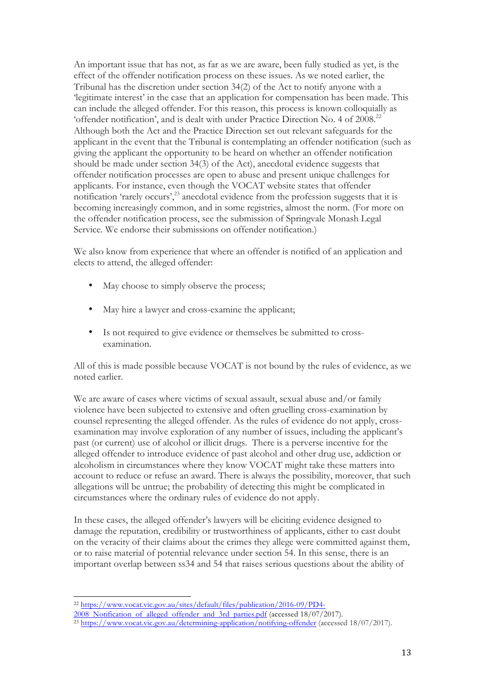An important issue that has not, as far as we are aware, been fully studied as yet, is the effect of the offender notification process on these issues. As we noted earlier, the Tribunal has the discretion under section 34(2) of the Act to notify anyone with a 'legitimate interest' in the case that an application for compensation has been made. This can include the alleged offender. For this reason, this process is known colloquially as 'offender notification', and is dealt with under Practice Direction No. 4 of 2008.22 Although both the Act and the Practice Direction set out relevant safeguards for the applicant in the event that the Tribunal is contemplating an offender notification (such as giving the applicant the opportunity to be heard on whether an offender notification should be made under section 34(3) of the Act), anecdotal evidence suggests that offender notification processes are open to abuse and present unique challenges for applicants. For instance, even though the VOCAT website states that offender notification 'rarely occurs',<sup>23</sup> anecdotal evidence from the profession suggests that it is becoming increasingly common, and in some registries, almost the norm. (For more on the offender notification process, see the submission of Springvale Monash Legal Service. We endorse their submissions on offender notification.)

We also know from experience that where an offender is notified of an application and elects to attend, the alleged offender:

- May choose to simply observe the process;
- May hire a lawyer and cross-examine the applicant;
- Is not required to give evidence or themselves be submitted to crossexamination.

All of this is made possible because VOCAT is not bound by the rules of evidence, as we noted earlier.

We are aware of cases where victims of sexual assault, sexual abuse and/or family violence have been subjected to extensive and often gruelling cross-examination by counsel representing the alleged offender. As the rules of evidence do not apply, crossexamination may involve exploration of any number of issues, including the applicant's past (or current) use of alcohol or illicit drugs. There is a perverse incentive for the alleged offender to introduce evidence of past alcohol and other drug use, addiction or alcoholism in circumstances where they know VOCAT might take these matters into account to reduce or refuse an award. There is always the possibility, moreover, that such allegations will be untrue; the probability of detecting this might be complicated in circumstances where the ordinary rules of evidence do not apply.

In these cases, the alleged offender's lawyers will be eliciting evidence designed to damage the reputation, credibility or trustworthiness of applicants, either to cast doubt on the veracity of their claims about the crimes they allege were committed against them, or to raise material of potential relevance under section 54. In this sense, there is an important overlap between ss34 and 54 that raises serious questions about the ability of

<sup>&</sup>lt;sup>22</sup> https://www.vocat.vic.gov.au/sites/default/files/publication/2016-09/PD4-<br>2008 Notification of alleged offender and 3rd parties.pdf (accessed 18/07/2017).

<sup>&</sup>lt;sup>23</sup> https://www.vocat.vic.gov.au/determining-application/notifying-offender (accessed 18/07/2017).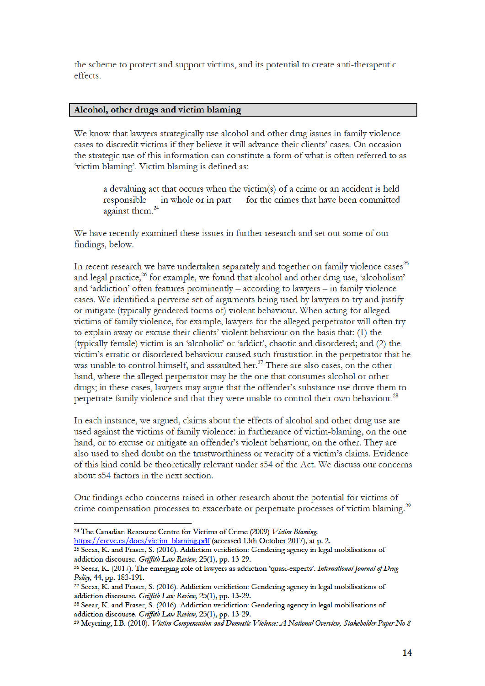the scheme to protect and support victims, and its potential to create anti-therapeutic effects.

#### Alcohol, other drugs and victim blaming

We know that lawyers strategically use alcohol and other drug issues in family violence cases to discredit victims if they believe it will advance their clients' cases. On occasion the strategic use of this information can constitute a form of what is often referred to as 'victim blaming'. Victim blaming is defined as:

a devaluing act that occurs when the victim(s) of a crime or an accident is held responsible — in whole or in part — for the crimes that have been committed against them.<sup>24</sup>

We have recently examined these issues in further research and set out some of our findings, below.

In recent research we have undertaken separately and together on family violence cases<sup>25</sup> and legal practice,<sup>26</sup> for example, we found that alcohol and other drug use, 'alcoholism' and 'addiction' often features prominently  $-$  according to lawyers  $-$  in family violence cases. We identified a perverse set of arguments being used by lawyers to try and justify or mitigate (typically gendered forms of) violent behaviour. When acting for alleged victims of family violence, for example, lawyers for the alleged perpetrator will often try to explain away or excuse their clients' violent behaviour on the basis that: (1) the (typically female) victim is an 'alcoholic' or 'addict', chaotic and disordered; and (2) the victim's erratic or disordered behaviour caused such frustration in the perpetrator that he was unable to control himself, and assaulted her.<sup>27</sup> There are also cases, on the other hand, where the alleged perpetrator may be the one that consumes alcohol or other drugs; in these cases, lawyers may argue that the offender's substance use drove them to perpetrate family violence and that they were unable to control their own behaviour.<sup>28</sup>

In each instance, we argued, claims about the effects of alcohol and other drug use are used against the victims of family violence: in furtherance of victim-blaming, on the one hand, or to excuse or mitigate an offender's violent behaviour, on the other. They are also used to shed doubt on the trustworthiness or veracity of a victim's claims. Evidence of this kind could be theoretically relevant under s54 of the Act. We discuss our concerns about s54 factors in the next section.

Our findings echo concerns raised in other research about the potential for victims of crime compensation processes to exacerbate or perpetuate processes of victim blaming.<sup>29</sup>

https://crcvc.ca/docs/victim\_blaming.pdf (accessed 13th October 2017), at p. 2.

<sup>&</sup>lt;sup>24</sup> The Canadian Resource Centre for Victims of Crime (2009) Victim Blaming.

<sup>&</sup>lt;sup>25</sup> Seear, K. and Fraser, S. (2016). Addiction veridiction: Gendering agency in legal mobilisations of addiction discourse. Griffith Law Review, 25(1), pp. 13-29.

<sup>&</sup>lt;sup>26</sup> Seear, K. (2017). The emerging role of lawyers as addiction 'quasi-experts'. International Journal of Drug Policy, 44, pp. 183-191.

<sup>&</sup>lt;sup>27</sup> Seear, K. and Fraser, S. (2016). Addiction veridiction: Gendering agency in legal mobilisations of addiction discourse. Griffith Law Review, 25(1), pp. 13-29.

<sup>&</sup>lt;sup>28</sup> Seear, K. and Fraser, S. (2016). Addiction veridiction: Gendering agency in legal mobilisations of addiction discourse. Griffith Law Review, 25(1), pp. 13-29.

<sup>&</sup>lt;sup>29</sup> Meyering, I.B. (2010). Victim Compensation and Domestic Violence: A National Overview, Stakeholder Paper No 8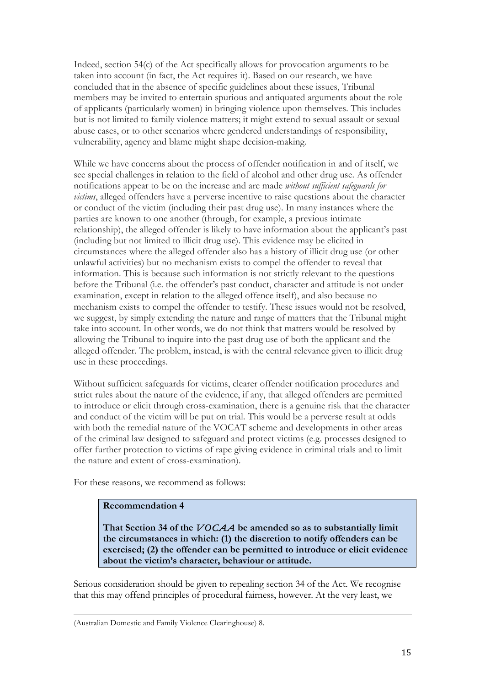Indeed, section 54(c) of the Act specifically allows for provocation arguments to be taken into account (in fact, the Act requires it). Based on our research, we have concluded that in the absence of specific guidelines about these issues, Tribunal members may be invited to entertain spurious and antiquated arguments about the role of applicants (particularly women) in bringing violence upon themselves. This includes but is not limited to family violence matters; it might extend to sexual assault or sexual abuse cases, or to other scenarios where gendered understandings of responsibility, vulnerability, agency and blame might shape decision-making.

While we have concerns about the process of offender notification in and of itself, we see special challenges in relation to the field of alcohol and other drug use. As offender notifications appear to be on the increase and are made *without sufficient safeguards for victims*, alleged offenders have a perverse incentive to raise questions about the character or conduct of the victim (including their past drug use). In many instances where the parties are known to one another (through, for example, a previous intimate relationship), the alleged offender is likely to have information about the applicant's past (including but not limited to illicit drug use). This evidence may be elicited in circumstances where the alleged offender also has a history of illicit drug use (or other unlawful activities) but no mechanism exists to compel the offender to reveal that information. This is because such information is not strictly relevant to the questions before the Tribunal (i.e. the offender's past conduct, character and attitude is not under examination, except in relation to the alleged offence itself), and also because no mechanism exists to compel the offender to testify. These issues would not be resolved, we suggest, by simply extending the nature and range of matters that the Tribunal might take into account. In other words, we do not think that matters would be resolved by allowing the Tribunal to inquire into the past drug use of both the applicant and the alleged offender. The problem, instead, is with the central relevance given to illicit drug use in these proceedings.

Without sufficient safeguards for victims, clearer offender notification procedures and strict rules about the nature of the evidence, if any, that alleged offenders are permitted to introduce or elicit through cross-examination, there is a genuine risk that the character and conduct of the victim will be put on trial. This would be a perverse result at odds with both the remedial nature of the VOCAT scheme and developments in other areas of the criminal law designed to safeguard and protect victims (e.g. processes designed to offer further protection to victims of rape giving evidence in criminal trials and to limit the nature and extent of cross-examination).

For these reasons, we recommend as follows:

## **Recommendation 4**

**That Section 34 of the** *VOCAA* **be amended so as to substantially limit the circumstances in which: (1) the discretion to notify offenders can be exercised; (2) the offender can be permitted to introduce or elicit evidence about the victim's character, behaviour or attitude.**

Serious consideration should be given to repealing section 34 of the Act. We recognise that this may offend principles of procedural fairness, however. At the very least, we

<sup>(</sup>Australian Domestic and Family Violence Clearinghouse) 8.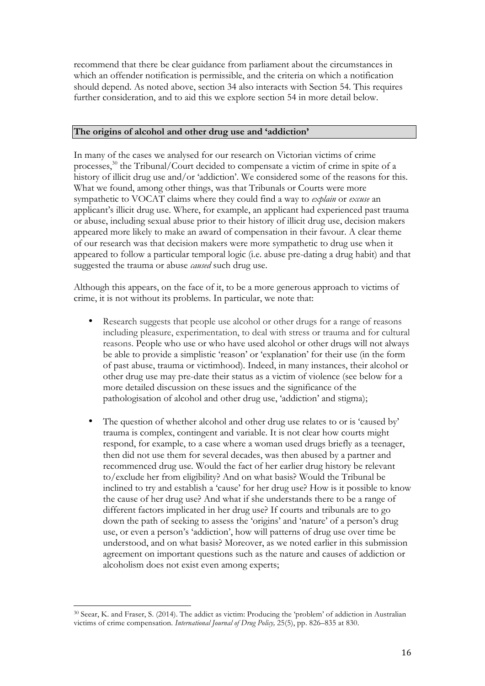recommend that there be clear guidance from parliament about the circumstances in which an offender notification is permissible, and the criteria on which a notification should depend. As noted above, section 34 also interacts with Section 54. This requires further consideration, and to aid this we explore section 54 in more detail below.

### **The origins of alcohol and other drug use and 'addiction'**

In many of the cases we analysed for our research on Victorian victims of crime processes, <sup>30</sup> the Tribunal/Court decided to compensate a victim of crime in spite of a history of illicit drug use and/or 'addiction'. We considered some of the reasons for this. What we found, among other things, was that Tribunals or Courts were more sympathetic to VOCAT claims where they could find a way to *explain* or *excuse* an applicant's illicit drug use. Where, for example, an applicant had experienced past trauma or abuse, including sexual abuse prior to their history of illicit drug use, decision makers appeared more likely to make an award of compensation in their favour. A clear theme of our research was that decision makers were more sympathetic to drug use when it appeared to follow a particular temporal logic (i.e. abuse pre-dating a drug habit) and that suggested the trauma or abuse *caused* such drug use.

Although this appears, on the face of it, to be a more generous approach to victims of crime, it is not without its problems. In particular, we note that:

- Research suggests that people use alcohol or other drugs for a range of reasons including pleasure, experimentation, to deal with stress or trauma and for cultural reasons. People who use or who have used alcohol or other drugs will not always be able to provide a simplistic 'reason' or 'explanation' for their use (in the form of past abuse, trauma or victimhood). Indeed, in many instances, their alcohol or other drug use may pre-date their status as a victim of violence (see below for a more detailed discussion on these issues and the significance of the pathologisation of alcohol and other drug use, 'addiction' and stigma);
- The question of whether alcohol and other drug use relates to or is 'caused by' trauma is complex, contingent and variable. It is not clear how courts might respond, for example, to a case where a woman used drugs briefly as a teenager, then did not use them for several decades, was then abused by a partner and recommenced drug use. Would the fact of her earlier drug history be relevant to/exclude her from eligibility? And on what basis? Would the Tribunal be inclined to try and establish a 'cause' for her drug use? How is it possible to know the cause of her drug use? And what if she understands there to be a range of different factors implicated in her drug use? If courts and tribunals are to go down the path of seeking to assess the 'origins' and 'nature' of a person's drug use, or even a person's 'addiction', how will patterns of drug use over time be understood, and on what basis? Moreover, as we noted earlier in this submission agreement on important questions such as the nature and causes of addiction or alcoholism does not exist even among experts;

<sup>30</sup> Seear, K. and Fraser, S. (2014). The addict as victim: Producing the 'problem' of addiction in Australian victims of crime compensation. *International Journal of Drug Policy,* 25(5), pp. 826–835 at 830.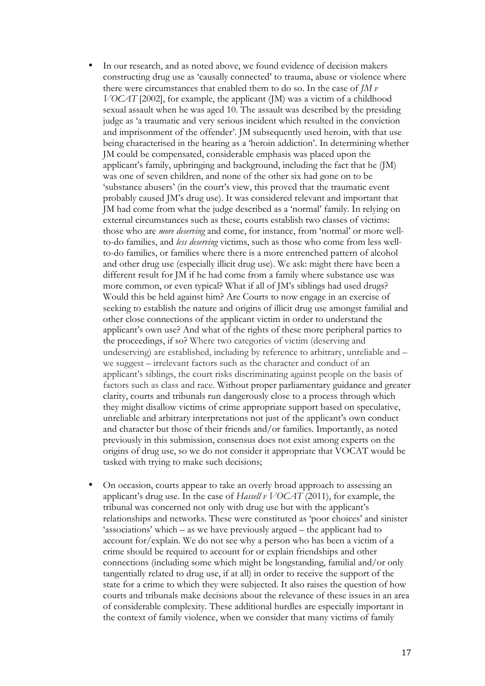- In our research, and as noted above, we found evidence of decision makers constructing drug use as 'causally connected' to trauma, abuse or violence where there were circumstances that enabled them to do so. In the case of *JM v VOCAT* [2002], for example, the applicant (JM) was a victim of a childhood sexual assault when he was aged 10. The assault was described by the presiding judge as 'a traumatic and very serious incident which resulted in the conviction and imprisonment of the offender'. JM subsequently used heroin, with that use being characterised in the hearing as a 'heroin addiction'. In determining whether JM could be compensated, considerable emphasis was placed upon the applicant's family, upbringing and background, including the fact that he (JM) was one of seven children, and none of the other six had gone on to be 'substance abusers' (in the court's view, this proved that the traumatic event probably caused JM's drug use). It was considered relevant and important that JM had come from what the judge described as a 'normal' family. In relying on external circumstances such as these, courts establish two classes of victims: those who are *more deserving* and come, for instance, from 'normal' or more wellto-do families, and *less deserving* victims, such as those who come from less wellto-do families, or families where there is a more entrenched pattern of alcohol and other drug use (especially illicit drug use). We ask: might there have been a different result for JM if he had come from a family where substance use was more common, or even typical? What if all of JM's siblings had used drugs? Would this be held against him? Are Courts to now engage in an exercise of seeking to establish the nature and origins of illicit drug use amongst familial and other close connections of the applicant victim in order to understand the applicant's own use? And what of the rights of these more peripheral parties to the proceedings, if so? Where two categories of victim (deserving and undeserving) are established, including by reference to arbitrary, unreliable and – we suggest – irrelevant factors such as the character and conduct of an applicant's siblings, the court risks discriminating against people on the basis of factors such as class and race. Without proper parliamentary guidance and greater clarity, courts and tribunals run dangerously close to a process through which they might disallow victims of crime appropriate support based on speculative, unreliable and arbitrary interpretations not just of the applicant's own conduct and character but those of their friends and/or families. Importantly, as noted previously in this submission, consensus does not exist among experts on the origins of drug use, so we do not consider it appropriate that VOCAT would be tasked with trying to make such decisions;
- On occasion, courts appear to take an overly broad approach to assessing an applicant's drug use. In the case of *Hassell v VOCAT* (2011), for example, the tribunal was concerned not only with drug use but with the applicant's relationships and networks. These were constituted as 'poor choices' and sinister 'associations' which – as we have previously argued – the applicant had to account for/explain. We do not see why a person who has been a victim of a crime should be required to account for or explain friendships and other connections (including some which might be longstanding, familial and/or only tangentially related to drug use, if at all) in order to receive the support of the state for a crime to which they were subjected. It also raises the question of how courts and tribunals make decisions about the relevance of these issues in an area of considerable complexity. These additional hurdles are especially important in the context of family violence, when we consider that many victims of family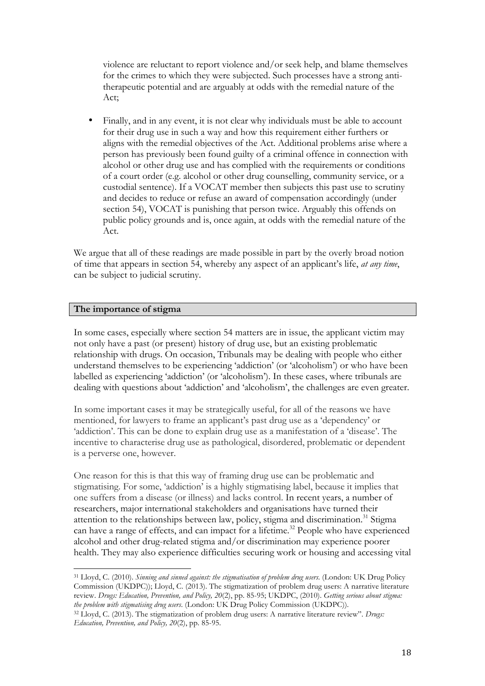violence are reluctant to report violence and/or seek help, and blame themselves for the crimes to which they were subjected. Such processes have a strong antitherapeutic potential and are arguably at odds with the remedial nature of the Act;

• Finally, and in any event, it is not clear why individuals must be able to account for their drug use in such a way and how this requirement either furthers or aligns with the remedial objectives of the Act. Additional problems arise where a person has previously been found guilty of a criminal offence in connection with alcohol or other drug use and has complied with the requirements or conditions of a court order (e.g. alcohol or other drug counselling, community service, or a custodial sentence). If a VOCAT member then subjects this past use to scrutiny and decides to reduce or refuse an award of compensation accordingly (under section 54), VOCAT is punishing that person twice. Arguably this offends on public policy grounds and is, once again, at odds with the remedial nature of the Act.

We argue that all of these readings are made possible in part by the overly broad notion of time that appears in section 54, whereby any aspect of an applicant's life, *at any time*, can be subject to judicial scrutiny.

## **The importance of stigma**

In some cases, especially where section 54 matters are in issue, the applicant victim may not only have a past (or present) history of drug use, but an existing problematic relationship with drugs. On occasion, Tribunals may be dealing with people who either understand themselves to be experiencing 'addiction' (or 'alcoholism') or who have been labelled as experiencing 'addiction' (or 'alcoholism'). In these cases, where tribunals are dealing with questions about 'addiction' and 'alcoholism', the challenges are even greater.

In some important cases it may be strategically useful, for all of the reasons we have mentioned, for lawyers to frame an applicant's past drug use as a 'dependency' or 'addiction'. This can be done to explain drug use as a manifestation of a 'disease'. The incentive to characterise drug use as pathological, disordered, problematic or dependent is a perverse one, however.

One reason for this is that this way of framing drug use can be problematic and stigmatising. For some, 'addiction' is a highly stigmatising label, because it implies that one suffers from a disease (or illness) and lacks control. In recent years, a number of researchers, major international stakeholders and organisations have turned their attention to the relationships between law, policy, stigma and discrimination.<sup>31</sup> Stigma can have a range of effects, and can impact for a lifetime.<sup>32</sup> People who have experienced alcohol and other drug-related stigma and/or discrimination may experience poorer health. They may also experience difficulties securing work or housing and accessing vital

<sup>31</sup> Lloyd, C. (2010). *Sinning and sinned against: the stigmatisation of problem drug users*. (London: UK Drug Policy Commission (UKDPC)); Lloyd, C. (2013). The stigmatization of problem drug users: A narrative literature review. *Drugs: Education, Prevention, and Policy, 20*(2), pp. 85-95; UKDPC, (2010). *Getting serious about stigma: the problem with stigmatising drug users*. (London: UK Drug Policy Commission (UKDPC)).

<sup>32</sup> Lloyd, C. (2013). The stigmatization of problem drug users: A narrative literature review". *Drugs: Education, Prevention, and Policy, 20*(2), pp. 85-95.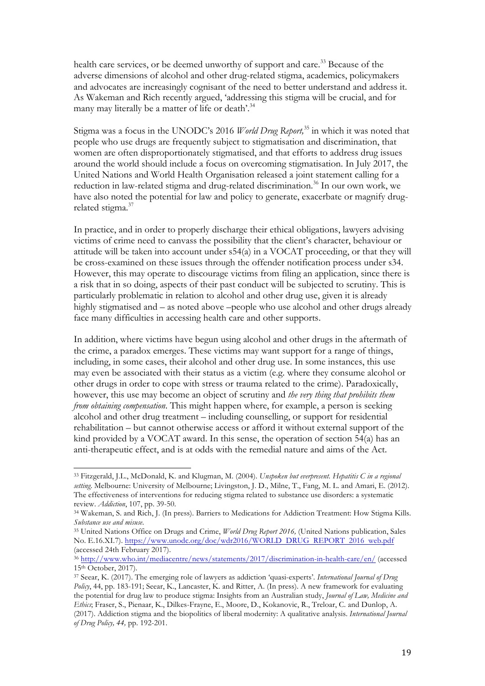health care services, or be deemed unworthy of support and care.<sup>33</sup> Because of the adverse dimensions of alcohol and other drug-related stigma, academics, policymakers and advocates are increasingly cognisant of the need to better understand and address it. As Wakeman and Rich recently argued, 'addressing this stigma will be crucial, and for many may literally be a matter of life or death'.<sup>34</sup>

Stigma was a focus in the UNODC's 2016 *World Drug Report,* <sup>35</sup> in which it was noted that people who use drugs are frequently subject to stigmatisation and discrimination, that women are often disproportionately stigmatised, and that efforts to address drug issues around the world should include a focus on overcoming stigmatisation. In July 2017, the United Nations and World Health Organisation released a joint statement calling for a reduction in law-related stigma and drug-related discrimination. <sup>36</sup> In our own work, we have also noted the potential for law and policy to generate, exacerbate or magnify drugrelated stigma.<sup>37</sup>

In practice, and in order to properly discharge their ethical obligations, lawyers advising victims of crime need to canvass the possibility that the client's character, behaviour or attitude will be taken into account under s54(a) in a VOCAT proceeding, or that they will be cross-examined on these issues through the offender notification process under s34. However, this may operate to discourage victims from filing an application, since there is a risk that in so doing, aspects of their past conduct will be subjected to scrutiny. This is particularly problematic in relation to alcohol and other drug use, given it is already highly stigmatised and – as noted above –people who use alcohol and other drugs already face many difficulties in accessing health care and other supports.

In addition, where victims have begun using alcohol and other drugs in the aftermath of the crime, a paradox emerges. These victims may want support for a range of things, including, in some cases, their alcohol and other drug use. In some instances, this use may even be associated with their status as a victim (e.g. where they consume alcohol or other drugs in order to cope with stress or trauma related to the crime). Paradoxically, however, this use may become an object of scrutiny and *the very thing that prohibits them from obtaining compensation*. This might happen where, for example, a person is seeking alcohol and other drug treatment – including counselling, or support for residential rehabilitation – but cannot otherwise access or afford it without external support of the kind provided by a VOCAT award. In this sense, the operation of section 54(a) has an anti-therapeutic effect, and is at odds with the remedial nature and aims of the Act.

<sup>33</sup> Fitzgerald, J.L., McDonald, K. and Klugman, M. (2004). *Unspoken but everpresent. Hepatitis C in a regional setting*. Melbourne: University of Melbourne; Livingston, J. D., Milne, T., Fang, M. L. and Amari, E. (2012). The effectiveness of interventions for reducing stigma related to substance use disorders: a systematic review. *Addiction*, 107, pp. 39-50.

<sup>34</sup> Wakeman, S. and Rich, J. (In press). Barriers to Medications for Addiction Treatment: How Stigma Kills. *Substance use and misuse*. 35 United Nations Office on Drugs and Crime, *World Drug Report 2016,* (United Nations publication, Sales

No. E.16.XI.7). https://www.unodc.org/doc/wdr2016/WORLD DRUG REPORT 2016 web.pdf (accessed 24th February 2017).

<sup>36</sup> http://www.who.int/mediacentre/news/statements/2017/discrimination-in-health-care/en/ (accessed 15th October, 2017).

<sup>37</sup> Seear, K. (2017). The emerging role of lawyers as addiction 'quasi-experts'. *International Journal of Drug Policy*, 44, pp. 183-191; Seear, K., Lancaster, K. and Ritter, A. (In press). A new framework for evaluating the potential for drug law to produce stigma: Insights from an Australian study, *Journal of Law, Medicine and Ethics*; Fraser, S., Pienaar, K., Dilkes-Frayne, E., Moore, D., Kokanovic, R., Treloar, C. and Dunlop, A. (2017). Addiction stigma and the biopolitics of liberal modernity: A qualitative analysis. *International Journal of Drug Policy, 44,* pp. 192-201.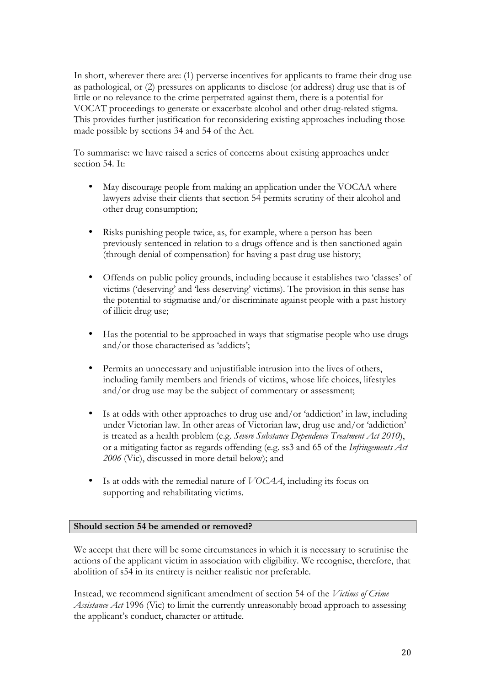In short, wherever there are: (1) perverse incentives for applicants to frame their drug use as pathological, or (2) pressures on applicants to disclose (or address) drug use that is of little or no relevance to the crime perpetrated against them, there is a potential for VOCAT proceedings to generate or exacerbate alcohol and other drug-related stigma. This provides further justification for reconsidering existing approaches including those made possible by sections 34 and 54 of the Act.

To summarise: we have raised a series of concerns about existing approaches under section 54. It:

- May discourage people from making an application under the VOCAA where lawyers advise their clients that section 54 permits scrutiny of their alcohol and other drug consumption;
- Risks punishing people twice, as, for example, where a person has been previously sentenced in relation to a drugs offence and is then sanctioned again (through denial of compensation) for having a past drug use history;
- Offends on public policy grounds, including because it establishes two 'classes' of victims ('deserving' and 'less deserving' victims). The provision in this sense has the potential to stigmatise and/or discriminate against people with a past history of illicit drug use;
- Has the potential to be approached in ways that stigmatise people who use drugs and/or those characterised as 'addicts';
- Permits an unnecessary and unjustifiable intrusion into the lives of others, including family members and friends of victims, whose life choices, lifestyles and/or drug use may be the subject of commentary or assessment;
- Is at odds with other approaches to drug use and/or 'addiction' in law, including under Victorian law. In other areas of Victorian law, drug use and/or 'addiction' is treated as a health problem (e.g. *Severe Substance Dependence Treatment Act 2010*), or a mitigating factor as regards offending (e.g. ss3 and 65 of the *Infringements Act 2006* (Vic), discussed in more detail below); and
- Is at odds with the remedial nature of *VOCAA*, including its focus on supporting and rehabilitating victims.

## **Should section 54 be amended or removed?**

We accept that there will be some circumstances in which it is necessary to scrutinise the actions of the applicant victim in association with eligibility. We recognise, therefore, that abolition of s54 in its entirety is neither realistic nor preferable.

Instead, we recommend significant amendment of section 54 of the *Victims of Crime Assistance Act* 1996 (Vic) to limit the currently unreasonably broad approach to assessing the applicant's conduct, character or attitude.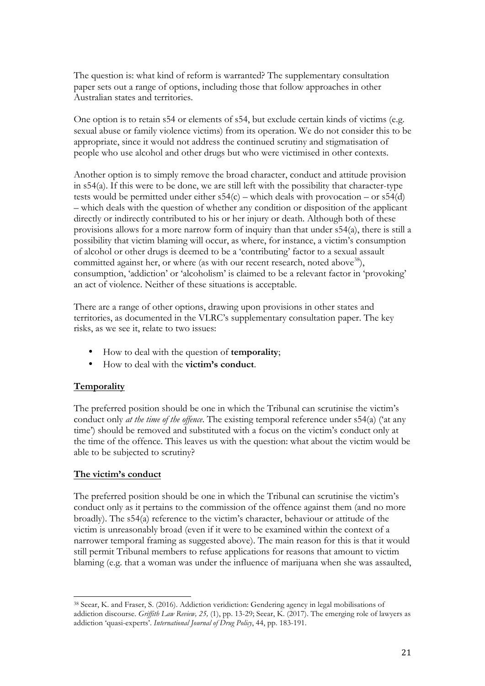The question is: what kind of reform is warranted? The supplementary consultation paper sets out a range of options, including those that follow approaches in other Australian states and territories.

One option is to retain s54 or elements of s54, but exclude certain kinds of victims (e.g. sexual abuse or family violence victims) from its operation. We do not consider this to be appropriate, since it would not address the continued scrutiny and stigmatisation of people who use alcohol and other drugs but who were victimised in other contexts.

Another option is to simply remove the broad character, conduct and attitude provision in s54(a). If this were to be done, we are still left with the possibility that character-type tests would be permitted under either  $s54(c)$  – which deals with provocation – or  $s54(d)$ – which deals with the question of whether any condition or disposition of the applicant directly or indirectly contributed to his or her injury or death. Although both of these provisions allows for a more narrow form of inquiry than that under s54(a), there is still a possibility that victim blaming will occur, as where, for instance, a victim's consumption of alcohol or other drugs is deemed to be a 'contributing' factor to a sexual assault committed against her, or where (as with our recent research, noted above<sup>38</sup>), consumption, 'addiction' or 'alcoholism' is claimed to be a relevant factor in 'provoking' an act of violence. Neither of these situations is acceptable.

There are a range of other options, drawing upon provisions in other states and territories, as documented in the VLRC's supplementary consultation paper. The key risks, as we see it, relate to two issues:

- How to deal with the question of **temporality**;
- How to deal with the **victim's conduct**.

## **Temporality**

The preferred position should be one in which the Tribunal can scrutinise the victim's conduct only *at the time of the offence*. The existing temporal reference under s54(a) ('at any time') should be removed and substituted with a focus on the victim's conduct only at the time of the offence. This leaves us with the question: what about the victim would be able to be subjected to scrutiny?

## **The victim's conduct**

The preferred position should be one in which the Tribunal can scrutinise the victim's conduct only as it pertains to the commission of the offence against them (and no more broadly). The s54(a) reference to the victim's character, behaviour or attitude of the victim is unreasonably broad (even if it were to be examined within the context of a narrower temporal framing as suggested above). The main reason for this is that it would still permit Tribunal members to refuse applications for reasons that amount to victim blaming (e.g. that a woman was under the influence of marijuana when she was assaulted,

<sup>38</sup> Seear, K. and Fraser, S. (2016). Addiction veridiction: Gendering agency in legal mobilisations of addiction discourse. *Griffith Law Review, 25,* (1), pp. 13-29; Seear, K. (2017). The emerging role of lawyers as addiction 'quasi-experts'. *International Journal of Drug Policy*, 44, pp. 183-191.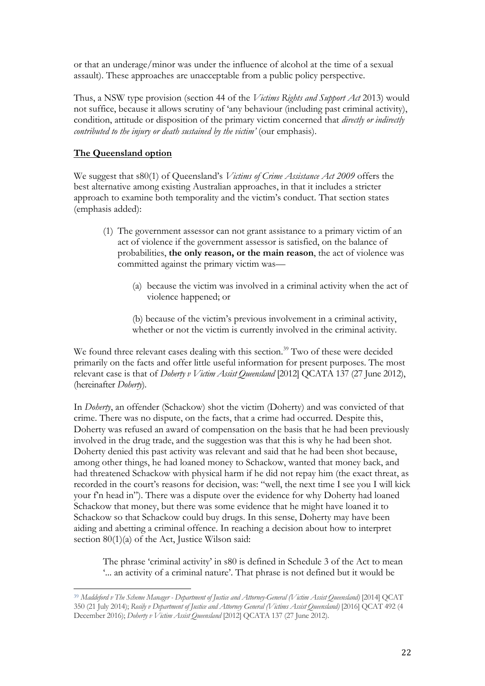or that an underage/minor was under the influence of alcohol at the time of a sexual assault). These approaches are unacceptable from a public policy perspective.

Thus, a NSW type provision (section 44 of the *Victims Rights and Support Act* 2013) would not suffice, because it allows scrutiny of 'any behaviour (including past criminal activity), condition, attitude or disposition of the primary victim concerned that *directly or indirectly contributed to the injury or death sustained by the victim'* (our emphasis).

# **The Queensland option**

We suggest that s80(1) of Queensland's *Victims of Crime Assistance Act 2009* offers the best alternative among existing Australian approaches, in that it includes a stricter approach to examine both temporality and the victim's conduct. That section states (emphasis added):

- (1) The government assessor can not grant assistance to a primary victim of an act of violence if the government assessor is satisfied, on the balance of probabilities, **the only reason, or the main reason**, the act of violence was committed against the primary victim was—
	- (a) because the victim was involved in a criminal activity when the act of violence happened; or

(b) because of the victim's previous involvement in a criminal activity, whether or not the victim is currently involved in the criminal activity.

We found three relevant cases dealing with this section.<sup>39</sup> Two of these were decided primarily on the facts and offer little useful information for present purposes. The most relevant case is that of *Doherty v Victim Assist Queensland* [2012] QCATA 137 (27 June 2012), (hereinafter *Doherty*)*.*

In *Doherty*, an offender (Schackow) shot the victim (Doherty) and was convicted of that crime. There was no dispute, on the facts, that a crime had occurred. Despite this, Doherty was refused an award of compensation on the basis that he had been previously involved in the drug trade, and the suggestion was that this is why he had been shot. Doherty denied this past activity was relevant and said that he had been shot because, among other things, he had loaned money to Schackow, wanted that money back, and had threatened Schackow with physical harm if he did not repay him (the exact threat, as recorded in the court's reasons for decision, was: "well, the next time I see you I will kick your f'n head in"). There was a dispute over the evidence for why Doherty had loaned Schackow that money, but there was some evidence that he might have loaned it to Schackow so that Schackow could buy drugs. In this sense, Doherty may have been aiding and abetting a criminal offence. In reaching a decision about how to interpret section 80(1)(a) of the Act, Justice Wilson said:

The phrase 'criminal activity' in s80 is defined in Schedule 3 of the Act to mean '... an activity of a criminal nature'. That phrase is not defined but it would be

<sup>39</sup> *Maddeford v The Scheme Manager - Department of Justice and Attorney-General (Victim Assist Queensland)* [2014] QCAT 350 (21 July 2014); *Rosily v Department of Justice and Attorney General (Victims Assist Queensland)* [2016] QCAT 492 (4 December 2016); *Doherty v Victim Assist Queensland* [2012] QCATA 137 (27 June 2012).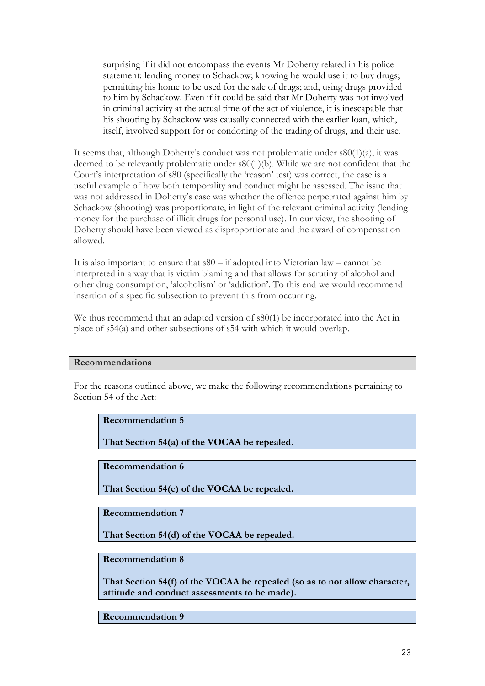surprising if it did not encompass the events Mr Doherty related in his police statement: lending money to Schackow; knowing he would use it to buy drugs; permitting his home to be used for the sale of drugs; and, using drugs provided to him by Schackow. Even if it could be said that Mr Doherty was not involved in criminal activity at the actual time of the act of violence, it is inescapable that his shooting by Schackow was causally connected with the earlier loan, which, itself, involved support for or condoning of the trading of drugs, and their use.

It seems that, although Doherty's conduct was not problematic under s80(1)(a), it was deemed to be relevantly problematic under s80(1)(b). While we are not confident that the Court's interpretation of s80 (specifically the 'reason' test) was correct, the case is a useful example of how both temporality and conduct might be assessed. The issue that was not addressed in Doherty's case was whether the offence perpetrated against him by Schackow (shooting) was proportionate, in light of the relevant criminal activity (lending money for the purchase of illicit drugs for personal use). In our view, the shooting of Doherty should have been viewed as disproportionate and the award of compensation allowed.

It is also important to ensure that s80 – if adopted into Victorian law – cannot be interpreted in a way that is victim blaming and that allows for scrutiny of alcohol and other drug consumption, 'alcoholism' or 'addiction'. To this end we would recommend insertion of a specific subsection to prevent this from occurring.

We thus recommend that an adapted version of s80(1) be incorporated into the Act in place of s54(a) and other subsections of s54 with which it would overlap.

#### **Recommendations**

For the reasons outlined above, we make the following recommendations pertaining to Section 54 of the Act:

#### **Recommendation 5**

**That Section 54(a) of the VOCAA be repealed.**

#### **Recommendation 6**

**That Section 54(c) of the VOCAA be repealed.**

**Recommendation 7**

**That Section 54(d) of the VOCAA be repealed.**

#### **Recommendation 8**

**That Section 54(f) of the VOCAA be repealed (so as to not allow character, attitude and conduct assessments to be made).**

**Recommendation 9**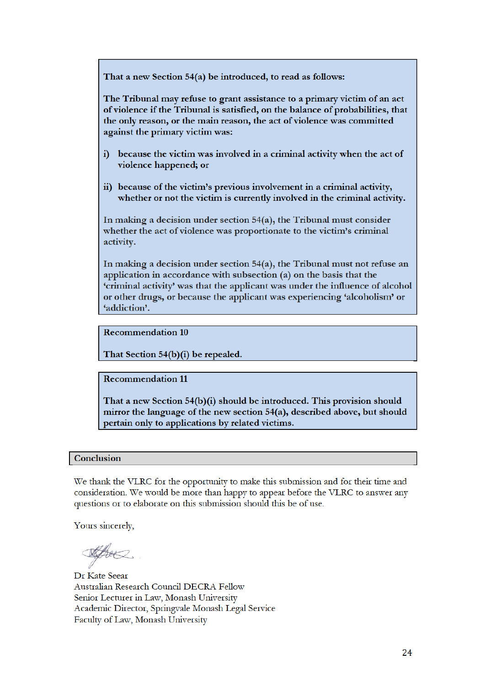That a new Section 54(a) be introduced, to read as follows:

The Tribunal may refuse to grant assistance to a primary victim of an act of violence if the Tribunal is satisfied, on the balance of probabilities, that the only reason, or the main reason, the act of violence was committed against the primary victim was:

- because the victim was involved in a criminal activity when the act of  $\ddot{\mathbf{i}}$ violence happened; or
- ii) because of the victim's previous involvement in a criminal activity, whether or not the victim is currently involved in the criminal activity.

In making a decision under section  $54(a)$ , the Tribunal must consider whether the act of violence was proportionate to the victim's criminal activity.

In making a decision under section  $54(a)$ , the Tribunal must not refuse an application in accordance with subsection (a) on the basis that the 'criminal activity' was that the applicant was under the influence of alcohol or other drugs, or because the applicant was experiencing 'alcoholism' or 'addiction'.

**Recommendation 10** 

That Section 54(b)(i) be repealed.

**Recommendation 11** 

That a new Section 54(b)(i) should be introduced. This provision should mirror the language of the new section 54(a), described above, but should pertain only to applications by related victims.

#### Conclusion

We thank the VLRC for the opportunity to make this submission and for their time and consideration. We would be more than happy to appear before the VLRC to answer any questions or to elaborate on this submission should this be of use.

Yours sincerely,

the

Dr Kate Seear Australian Research Council DECRA Fellow Senior Lecturer in Law, Monash University Academic Director, Springvale Monash Legal Service Faculty of Law, Monash University